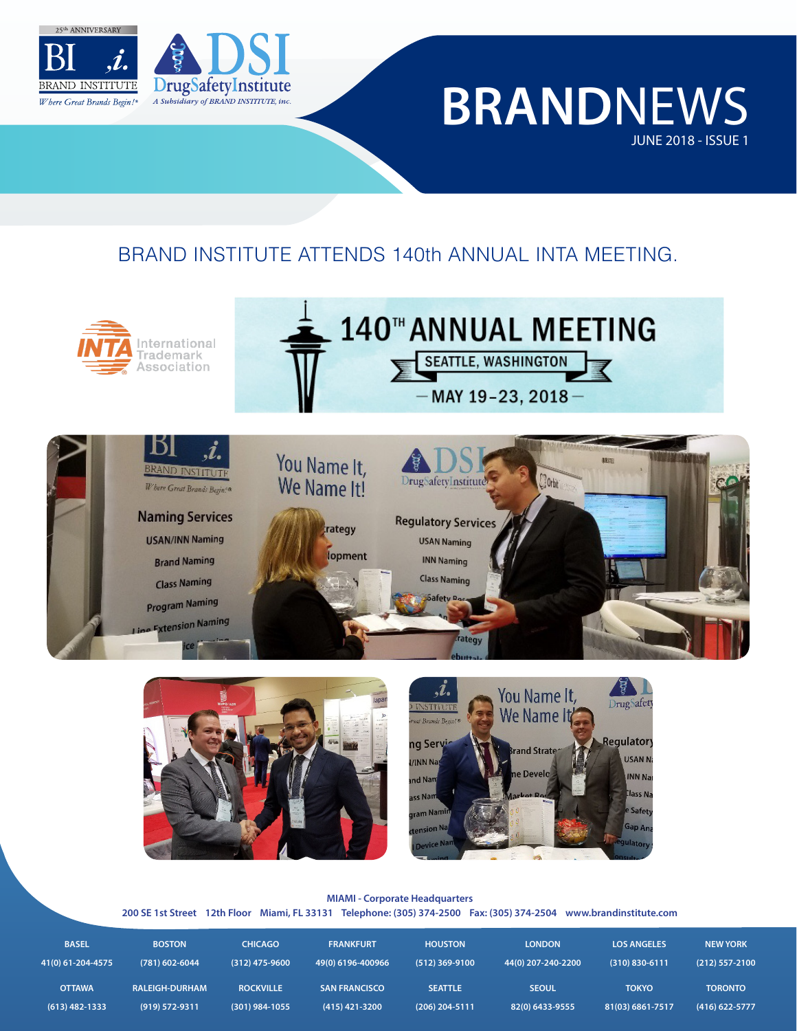



## **BRAND**NEWS JUNE 2018 - ISSUE 1

## BRAND INSTITUTE ATTENDS 140th ANNUAL INTA MEETING.









## **MIAMI - Corporate Headquarters**

**200 SE 1st Street 12th Floor Miami, FL 33131 Telephone: (305) 374-2500 Fax: (305) 374-2504 www.brandinstitute.com**

| <b>BASEL</b>      | <b>BOSTON</b>         | <b>CHICAGO</b>   | <b>FRANKFURT</b>     | <b>HOUSTON</b>   | <b>LONDON</b>      | <b>LOS ANGELES</b> | <b>NEW YORK</b>    |
|-------------------|-----------------------|------------------|----------------------|------------------|--------------------|--------------------|--------------------|
| 41(0) 61-204-4575 | $(781)$ 602-6044      | $(312)$ 475-9600 | 49(0) 6196-400966    | $(512)$ 369-9100 | 44(0) 207-240-2200 | $(310) 830 - 6111$ | $(212) 557 - 2100$ |
| <b>OTTAWA</b>     | <b>RALEIGH-DURHAM</b> | <b>ROCKVILLE</b> | <b>SAN FRANCISCO</b> | <b>SEATTLE</b>   | <b>SEQUL</b>       | <b>TOKYO</b>       | <b>TORONTO</b>     |
| $(613)$ 482-1333  | $(919)$ 572-9311      | $(301)$ 984-1055 | $(415)$ 421-3200     | $(206)$ 204-5111 | 82(0) 6433-9555    | 81(03) 6861-7517   | $(416)$ 622-5777   |
|                   |                       |                  |                      |                  |                    |                    |                    |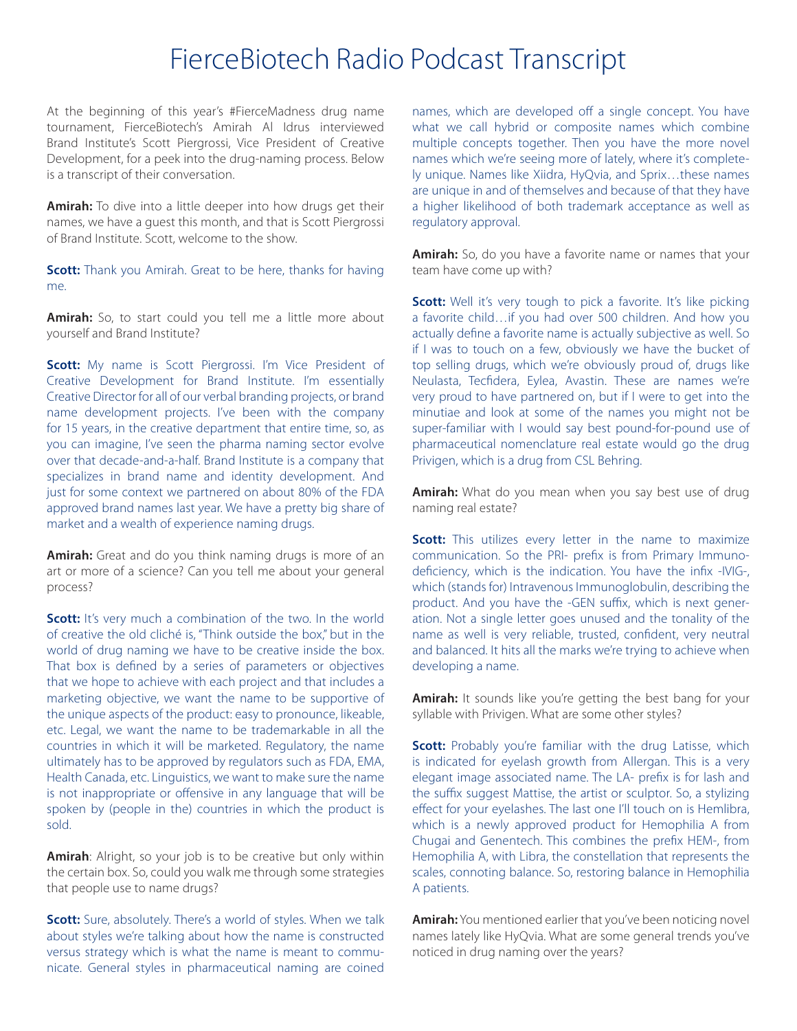## FierceBiotech Radio Podcast Transcript

At the beginning of this year's #FierceMadness drug name tournament, FierceBiotech's Amirah Al Idrus interviewed Brand Institute's Scott Piergrossi, Vice President of Creative Development, for a peek into the drug-naming process. Below is a transcript of their conversation.

**Amirah:** To dive into a little deeper into how drugs get their names, we have a guest this month, and that is Scott Piergrossi of Brand Institute. Scott, welcome to the show.

**Scott:** Thank you Amirah. Great to be here, thanks for having me.

**Amirah:** So, to start could you tell me a little more about yourself and Brand Institute?

**Scott:** My name is Scott Piergrossi. I'm Vice President of Creative Development for Brand Institute. I'm essentially Creative Director for all of our verbal branding projects, or brand name development projects. I've been with the company for 15 years, in the creative department that entire time, so, as you can imagine, I've seen the pharma naming sector evolve over that decade-and-a-half. Brand Institute is a company that specializes in brand name and identity development. And just for some context we partnered on about 80% of the FDA approved brand names last year. We have a pretty big share of market and a wealth of experience naming drugs.

**Amirah:** Great and do you think naming drugs is more of an art or more of a science? Can you tell me about your general process?

**Scott:** It's very much a combination of the two. In the world of creative the old cliché is, "Think outside the box," but in the world of drug naming we have to be creative inside the box. That box is defined by a series of parameters or objectives that we hope to achieve with each project and that includes a marketing objective, we want the name to be supportive of the unique aspects of the product: easy to pronounce, likeable, etc. Legal, we want the name to be trademarkable in all the countries in which it will be marketed. Regulatory, the name ultimately has to be approved by regulators such as FDA, EMA, Health Canada, etc. Linguistics, we want to make sure the name is not inappropriate or offensive in any language that will be spoken by (people in the) countries in which the product is sold.

**Amirah**: Alright, so your job is to be creative but only within the certain box. So, could you walk me through some strategies that people use to name drugs?

**Scott:** Sure, absolutely. There's a world of styles. When we talk about styles we're talking about how the name is constructed versus strategy which is what the name is meant to communicate. General styles in pharmaceutical naming are coined

names, which are developed off a single concept. You have what we call hybrid or composite names which combine multiple concepts together. Then you have the more novel names which we're seeing more of lately, where it's completely unique. Names like Xiidra, HyQvia, and Sprix…these names are unique in and of themselves and because of that they have a higher likelihood of both trademark acceptance as well as regulatory approval.

**Amirah:** So, do you have a favorite name or names that your team have come up with?

**Scott:** Well it's very tough to pick a favorite. It's like picking a favorite child…if you had over 500 children. And how you actually define a favorite name is actually subjective as well. So if I was to touch on a few, obviously we have the bucket of top selling drugs, which we're obviously proud of, drugs like Neulasta, Tecfidera, Eylea, Avastin. These are names we're very proud to have partnered on, but if I were to get into the minutiae and look at some of the names you might not be super-familiar with I would say best pound-for-pound use of pharmaceutical nomenclature real estate would go the drug Privigen, which is a drug from CSL Behring.

**Amirah:** What do you mean when you say best use of drug naming real estate?

**Scott:** This utilizes every letter in the name to maximize communication. So the PRI- prefix is from Primary Immunodeficiency, which is the indication. You have the infix -IVIG-, which (stands for) Intravenous Immunoglobulin, describing the product. And you have the -GEN suffix, which is next generation. Not a single letter goes unused and the tonality of the name as well is very reliable, trusted, confident, very neutral and balanced. It hits all the marks we're trying to achieve when developing a name.

**Amirah:** It sounds like you're getting the best bang for your syllable with Privigen. What are some other styles?

**Scott:** Probably you're familiar with the drug Latisse, which is indicated for eyelash growth from Allergan. This is a very elegant image associated name. The LA- prefix is for lash and the suffix suggest Mattise, the artist or sculptor. So, a stylizing effect for your eyelashes. The last one I'll touch on is Hemlibra, which is a newly approved product for Hemophilia A from Chugai and Genentech. This combines the prefix HEM-, from Hemophilia A, with Libra, the constellation that represents the scales, connoting balance. So, restoring balance in Hemophilia A patients.

**Amirah:** You mentioned earlier that you've been noticing novel names lately like HyQvia. What are some general trends you've noticed in drug naming over the years?